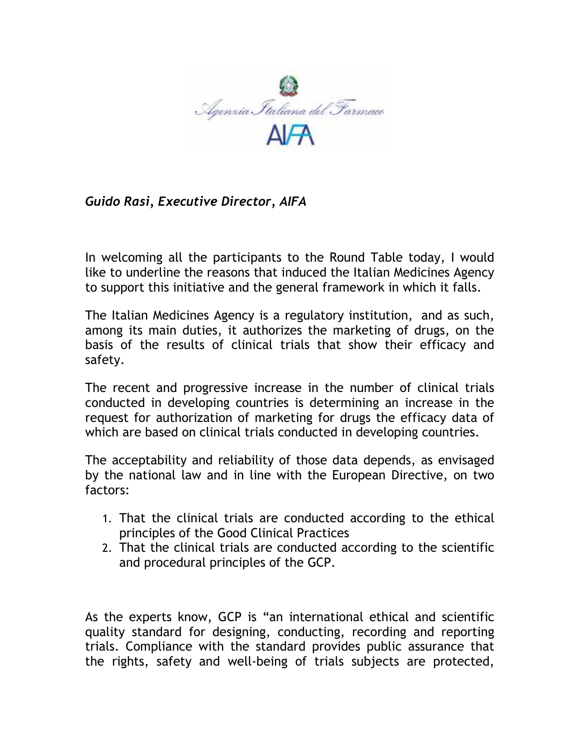

*Guido Rasi, Executive Director, AIFA* 

In welcoming all the participants to the Round Table today, I would like to underline the reasons that induced the Italian Medicines Agency to support this initiative and the general framework in which it falls.

The Italian Medicines Agency is a regulatory institution, and as such, among its main duties, it authorizes the marketing of drugs, on the basis of the results of clinical trials that show their efficacy and safety.

The recent and progressive increase in the number of clinical trials conducted in developing countries is determining an increase in the request for authorization of marketing for drugs the efficacy data of which are based on clinical trials conducted in developing countries.

The acceptability and reliability of those data depends, as envisaged by the national law and in line with the European Directive, on two factors:

- 1. That the clinical trials are conducted according to the ethical principles of the Good Clinical Practices
- 2. That the clinical trials are conducted according to the scientific and procedural principles of the GCP.

As the experts know, GCP is "an international ethical and scientific quality standard for designing, conducting, recording and reporting trials. Compliance with the standard provides public assurance that the rights, safety and well-being of trials subjects are protected,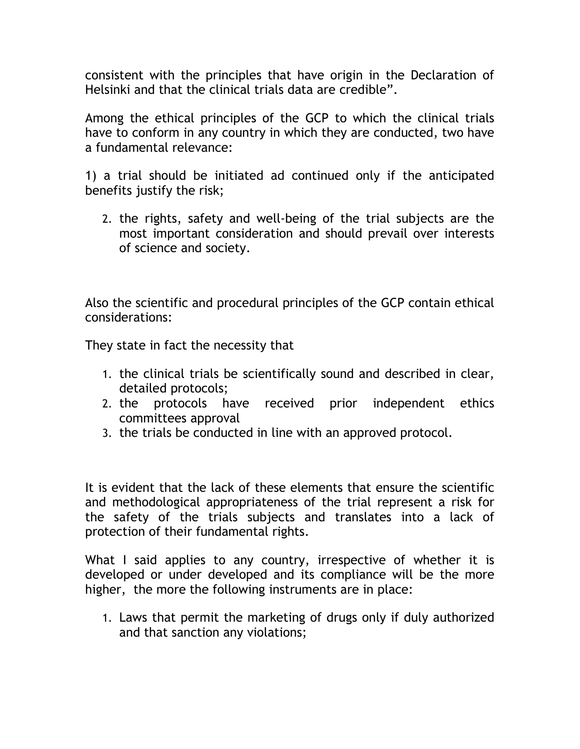consistent with the principles that have origin in the Declaration of Helsinki and that the clinical trials data are credible".

Among the ethical principles of the GCP to which the clinical trials have to conform in any country in which they are conducted, two have a fundamental relevance:

1) a trial should be initiated ad continued only if the anticipated benefits justify the risk;

2. the rights, safety and well-being of the trial subjects are the most important consideration and should prevail over interests of science and society.

Also the scientific and procedural principles of the GCP contain ethical considerations:

They state in fact the necessity that

- 1. the clinical trials be scientifically sound and described in clear, detailed protocols;
- 2. the protocols have received prior independent ethics committees approval
- 3. the trials be conducted in line with an approved protocol.

It is evident that the lack of these elements that ensure the scientific and methodological appropriateness of the trial represent a risk for the safety of the trials subjects and translates into a lack of protection of their fundamental rights.

What I said applies to any country, irrespective of whether it is developed or under developed and its compliance will be the more higher, the more the following instruments are in place:

1. Laws that permit the marketing of drugs only if duly authorized and that sanction any violations;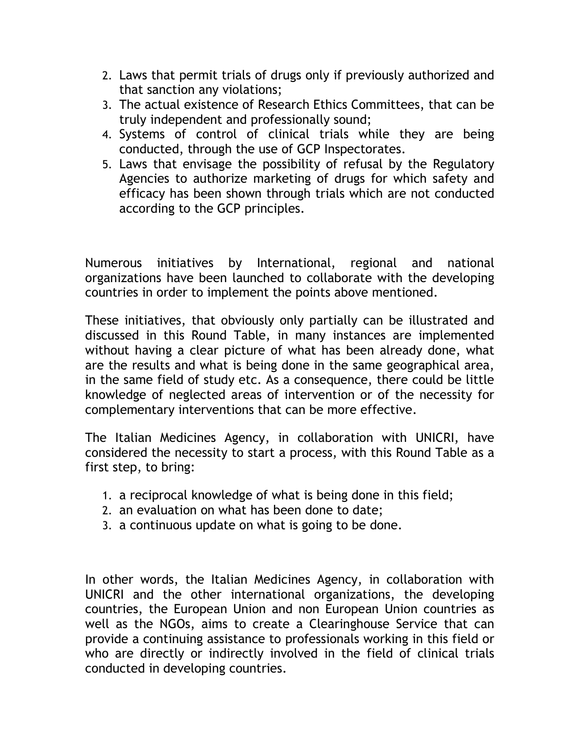- 2. Laws that permit trials of drugs only if previously authorized and that sanction any violations;
- 3. The actual existence of Research Ethics Committees, that can be truly independent and professionally sound;
- 4. Systems of control of clinical trials while they are being conducted, through the use of GCP Inspectorates.
- 5. Laws that envisage the possibility of refusal by the Regulatory Agencies to authorize marketing of drugs for which safety and efficacy has been shown through trials which are not conducted according to the GCP principles.

Numerous initiatives by International, regional and national organizations have been launched to collaborate with the developing countries in order to implement the points above mentioned.

These initiatives, that obviously only partially can be illustrated and discussed in this Round Table, in many instances are implemented without having a clear picture of what has been already done, what are the results and what is being done in the same geographical area, in the same field of study etc. As a consequence, there could be little knowledge of neglected areas of intervention or of the necessity for complementary interventions that can be more effective.

The Italian Medicines Agency, in collaboration with UNICRI, have considered the necessity to start a process, with this Round Table as a first step, to bring:

- 1. a reciprocal knowledge of what is being done in this field;
- 2. an evaluation on what has been done to date;
- 3. a continuous update on what is going to be done.

In other words, the Italian Medicines Agency, in collaboration with UNICRI and the other international organizations, the developing countries, the European Union and non European Union countries as well as the NGOs, aims to create a Clearinghouse Service that can provide a continuing assistance to professionals working in this field or who are directly or indirectly involved in the field of clinical trials conducted in developing countries.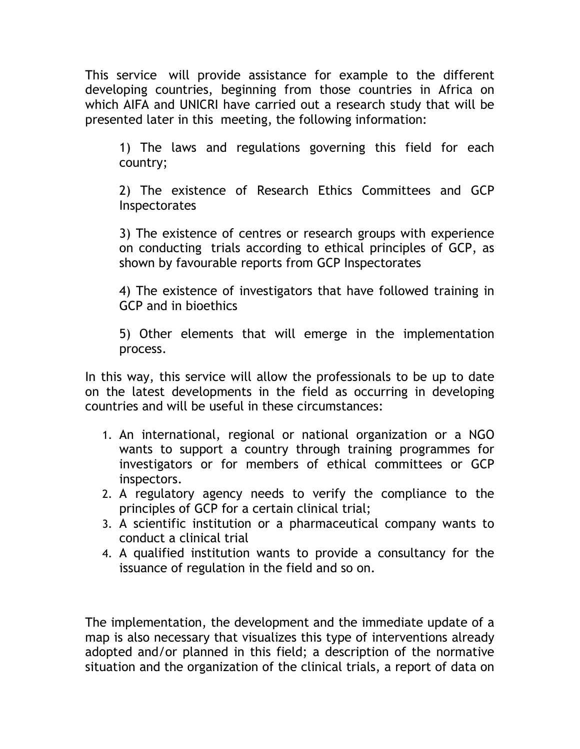This service will provide assistance for example to the different developing countries, beginning from those countries in Africa on which AIFA and UNICRI have carried out a research study that will be presented later in this meeting, the following information:

1) The laws and regulations governing this field for each country;

2) The existence of Research Ethics Committees and GCP **Inspectorates** 

3) The existence of centres or research groups with experience on conducting trials according to ethical principles of GCP, as shown by favourable reports from GCP Inspectorates

4) The existence of investigators that have followed training in GCP and in bioethics

5) Other elements that will emerge in the implementation process.

In this way, this service will allow the professionals to be up to date on the latest developments in the field as occurring in developing countries and will be useful in these circumstances:

- 1. An international, regional or national organization or a NGO wants to support a country through training programmes for investigators or for members of ethical committees or GCP inspectors.
- 2. A regulatory agency needs to verify the compliance to the principles of GCP for a certain clinical trial;
- 3. A scientific institution or a pharmaceutical company wants to conduct a clinical trial
- 4. A qualified institution wants to provide a consultancy for the issuance of regulation in the field and so on.

The implementation, the development and the immediate update of a map is also necessary that visualizes this type of interventions already adopted and/or planned in this field; a description of the normative situation and the organization of the clinical trials, a report of data on